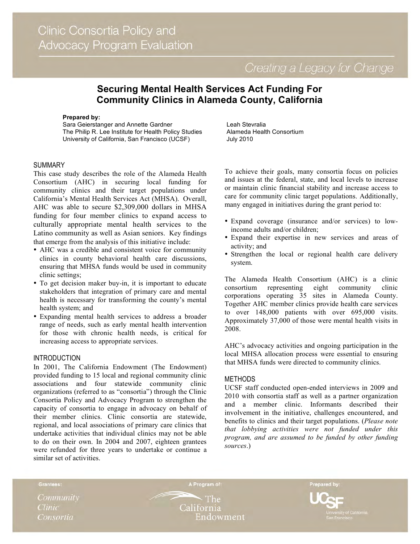Creating a Legacy for Change

# **Securing Mental Health Services Act Funding For Community Clinics in Alameda County, California**

#### **Prepared by:**

Sara Geierstanger and Annette Gardner The Philip R. Lee Institute for Health Policy Studies University of California, San Francisco (UCSF)

#### SUMMARY

This case study describes the role of the Alameda Health Consortium (AHC) in securing local funding for community clinics and their target populations under California's Mental Health Services Act (MHSA). Overall, AHC was able to secure \$2,309,000 dollars in MHSA funding for four member clinics to expand access to culturally appropriate mental health services to the Latino community as well as Asian seniors. Key findings that emerge from the analysis of this initiative include:

- AHC was a credible and consistent voice for community clinics in county behavioral health care discussions, ensuring that MHSA funds would be used in community clinic settings;
- To get decision maker buy-in, it is important to educate stakeholders that integration of primary care and mental health is necessary for transforming the county's mental health system; and
- Expanding mental health services to address a broader range of needs, such as early mental health intervention for those with chronic health needs, is critical for increasing access to appropriate services.

### INTRODUCTION

In 2001, The California Endowment (The Endowment) provided funding to 15 local and regional community clinic associations and four statewide community clinic organizations (referred to as "consortia") through the Clinic Consortia Policy and Advocacy Program to strengthen the capacity of consortia to engage in advocacy on behalf of their member clinics. Clinic consortia are statewide, regional, and local associations of primary care clinics that undertake activities that individual clinics may not be able to do on their own. In 2004 and 2007, eighteen grantees were refunded for three years to undertake or continue a similar set of activities.

Leah Stevralia Alameda Health Consortium July 2010

To achieve their goals, many consortia focus on policies and issues at the federal, state, and local levels to increase or maintain clinic financial stability and increase access to care for community clinic target populations. Additionally, many engaged in initiatives during the grant period to:

- Expand coverage (insurance and/or services) to lowincome adults and/or children;
- Expand their expertise in new services and areas of activity; and
- Strengthen the local or regional health care delivery system.

The Alameda Health Consortium (AHC) is a clinic consortium representing eight community clinic corporations operating 35 sites in Alameda County. Together AHC member clinics provide health care services to over 148,000 patients with over 695,000 visits. Approximately 37,000 of those were mental health visits in 2008.

AHC's advocacy activities and ongoing participation in the local MHSA allocation process were essential to ensuring that MHSA funds were directed to community clinics.

#### METHODS

UCSF staff conducted open-ended interviews in 2009 and 2010 with consortia staff as well as a partner organization and a member clinic. Informants described their involvement in the initiative, challenges encountered, and benefits to clinics and their target populations. (*Please note that lobbying activities were not funded under this program, and are assumed to be funded by other funding sources*.)

Grantees:

Community **Clinic** Consortia

**The** California Endowment

A Program of:

Prepared by: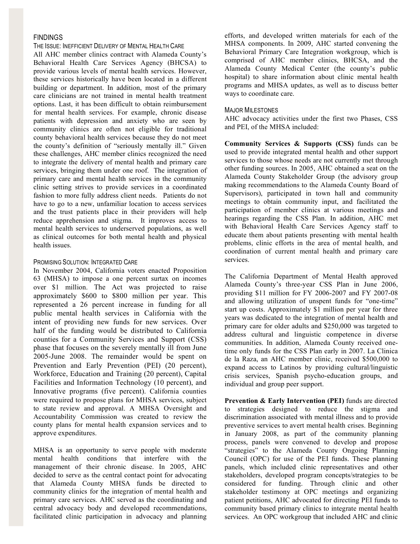# FINDINGS

THE ISSUE: INEFFICIENT DELIVERY OF MENTAL HEALTH CARE

All AHC member clinics contract with Alameda County's Behavioral Health Care Services Agency (BHCSA) to provide various levels of mental health services. However, these services historically have been located in a different building or department. In addition, most of the primary care clinicians are not trained in mental health treatment options. Last, it has been difficult to obtain reimbursement for mental health services. For example, chronic disease patients with depression and anxiety who are seen by community clinics are often not eligible for traditional county behavioral health services because they do not meet the county's definition of "seriously mentally ill." Given these challenges, AHC member clinics recognized the need to integrate the delivery of mental health and primary care services, bringing them under one roof. The integration of primary care and mental health services in the community clinic setting strives to provide services in a coordinated fashion to more fully address client needs. Patients do not have to go to a new, unfamiliar location to access services and the trust patients place in their providers will help reduce apprehension and stigma. It improves access to mental health services to underserved populations, as well as clinical outcomes for both mental health and physical health issues.

# PROMISING SOLUTION: INTEGRATED CARE

In November 2004, California voters enacted Proposition 63 (MHSA) to impose a one percent surtax on incomes over \$1 million. The Act was projected to raise approximately \$600 to \$800 million per year. This represented a 26 percent increase in funding for all public mental health services in California with the intent of providing new funds for new services. Over half of the funding would be distributed to California counties for a Community Services and Support (CSS) phase that focuses on the severely mentally ill from June 2005-June 2008. The remainder would be spent on Prevention and Early Prevention (PEI) (20 percent), Workforce, Education and Training (20 percent), Capital Facilities and Information Technology (10 percent), and Innovative programs (five percent). California counties were required to propose plans for MHSA services, subject to state review and approval. A MHSA Oversight and Accountability Commission was created to review the county plans for mental health expansion services and to approve expenditures.

MHSA is an opportunity to serve people with moderate mental health conditions that interfere with the management of their chronic disease. In 2005, AHC decided to serve as the central contact point for advocating that Alameda County MHSA funds be directed to community clinics for the integration of mental health and primary care services. AHC served as the coordinating and central advocacy body and developed recommendations, facilitated clinic participation in advocacy and planning

efforts, and developed written materials for each of the MHSA components. In 2009, AHC started convening the Behavioral Primary Care Integration workgroup, which is comprised of AHC member clinics, BHCSA, and the Alameda County Medical Center (the county's public hospital) to share information about clinic mental health programs and MHSA updates, as well as to discuss better ways to coordinate care.

### MAJOR MILESTONES

AHC advocacy activities under the first two Phases, CSS and PEI, of the MHSA included:

**Community Services & Supports (CSS)** funds can be used to provide integrated mental health and other support services to those whose needs are not currently met through other funding sources. In 2005, AHC obtained a seat on the Alameda County Stakeholder Group (the advisory group making recommendations to the Alameda County Board of Supervisors), participated in town hall and community meetings to obtain community input, and facilitated the participation of member clinics at various meetings and hearings regarding the CSS Plan. In addition, AHC met with Behavioral Health Care Services Agency staff to educate them about patients presenting with mental health problems, clinic efforts in the area of mental health, and coordination of current mental health and primary care services.

The California Department of Mental Health approved Alameda County's three-year CSS Plan in June 2006, providing \$11 million for FY 2006-2007 and FY 2007-08 and allowing utilization of unspent funds for "one-time" start up costs. Approximately \$1 million per year for three years was dedicated to the integration of mental health and primary care for older adults and \$250,000 was targeted to address cultural and linguistic competence in diverse communities. In addition, Alameda County received onetime only funds for the CSS Plan early in 2007. La Clinica de la Raza, an AHC member clinic, received \$500,000 to expand access to Latinos by providing cultural/linguistic crisis services, Spanish psycho-education groups, and individual and group peer support.

**Prevention & Early Intervention (PEI)** funds are directed to strategies designed to reduce the stigma and discrimination associated with mental illness and to provide preventive services to avert mental health crises. Beginning in January 2008, as part of the community planning process, panels were convened to develop and propose "strategies" to the Alameda County Ongoing Planning Council (OPC) for use of the PEI funds. These planning panels, which included clinic representatives and other stakeholders, developed program concepts/strategies to be considered for funding. Through clinic and other stakeholder testimony at OPC meetings and organizing patient petitions, AHC advocated for directing PEI funds to community based primary clinics to integrate mental health services. An OPC workgroup that included AHC and clinic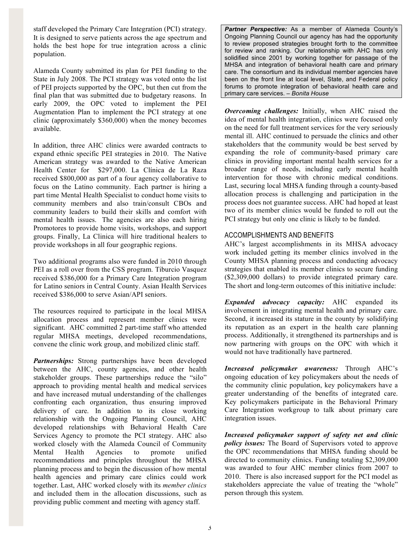staff developed the Primary Care Integration (PCI) strategy. It is designed to serve patients across the age spectrum and holds the best hope for true integration across a clinic population.

Alameda County submitted its plan for PEI funding to the State in July 2008. The PCI strategy was voted onto the list of PEI projects supported by the OPC, but then cut from the final plan that was submitted due to budgetary reasons. In early 2009, the OPC voted to implement the PEI Augmentation Plan to implement the PCI strategy at one clinic (approximately \$360,000) when the money becomes available.

In addition, three AHC clinics were awarded contracts to expand ethnic specific PEI strategies in 2010. The Native American strategy was awarded to the Native American Health Center for \$297,000. La Clínica de La Raza received \$800,000 as part of a four agency collaborative to focus on the Latino community. Each partner is hiring a part time Mental Health Specialist to conduct home visits to community members and also train/consult CBOs and community leaders to build their skills and comfort with mental health issues. The agencies are also each hiring Promotores to provide home visits, workshops, and support groups. Finally, La Clinica will hire traditional healers to provide workshops in all four geographic regions.

Two additional programs also were funded in 2010 through PEI as a roll over from the CSS program. Tiburcio Vasquez received \$386,000 for a Primary Care Integration program for Latino seniors in Central County. Asian Health Services received \$386,000 to serve Asian/API seniors.

The resources required to participate in the local MHSA allocation process and represent member clinics were significant. AHC committed 2 part-time staff who attended regular MHSA meetings, developed recommendations, convene the clinic work group, and mobilized clinic staff.

*Partnerships:* Strong partnerships have been developed between the AHC, county agencies, and other health stakeholder groups. These partnerships reduce the "silo" approach to providing mental health and medical services and have increased mutual understanding of the challenges confronting each organization, thus ensuring improved delivery of care. In addition to its close working relationship with the Ongoing Planning Council, AHC developed relationships with Behavioral Health Care Services Agency to promote the PCI strategy. AHC also worked closely with the Alameda Council of Community Mental Health Agencies to promote unified recommendations and principles throughout the MHSA planning process and to begin the discussion of how mental health agencies and primary care clinics could work together. Last, AHC worked closely with its *member clinics* and included them in the allocation discussions, such as providing public comment and meeting with agency staff.

*Partner Perspective:* As a member of Alameda County's Ongoing Planning Council our agency has had the opportunity to review proposed strategies brought forth to the committee for review and ranking. Our relationship with AHC has only solidified since 2001 by working together for passage of the MHSA and integration of behavioral health care and primary care. The consortium and its individual member agencies have been on the front line at local level, State, and Federal policy forums to promote integration of behavioral health care and primary care services. – *Bonita House*

*Overcoming challenges:* Initially, when AHC raised the idea of mental health integration, clinics were focused only on the need for full treatment services for the very seriously mental ill. AHC continued to persuade the clinics and other stakeholders that the community would be best served by expanding the role of community-based primary care clinics in providing important mental health services for a broader range of needs, including early mental health intervention for those with chronic medical conditions. Last, securing local MHSA funding through a county-based allocation process is challenging and participation in the process does not guarantee success. AHC had hoped at least two of its member clinics would be funded to roll out the PCI strategy but only one clinic is likely to be funded.

# ACCOMPLISHMENTS AND BENEFITS

AHC's largest accomplishments in its MHSA advocacy work included getting its member clinics involved in the County MHSA planning process and conducting advocacy strategies that enabled its member clinics to secure funding (\$2,309,000 dollars) to provide integrated primary care. The short and long-term outcomes of this initiative include:

*Expanded advocacy capacity:* AHC expanded its involvement in integrating mental health and primary care. Second, it increased its stature in the county by solidifying its reputation as an expert in the health care planning process. Additionally, it strengthened its partnerships and is now partnering with groups on the OPC with which it would not have traditionally have partnered.

*Increased policymaker awareness:* Through AHC's ongoing education of key policymakers about the needs of the community clinic population, key policymakers have a greater understanding of the benefits of integrated care. Key policymakers participate in the Behavioral Primary Care Integration workgroup to talk about primary care integration issues.

*Increased policymaker support of safety net and clinic policy issues:* The Board of Supervisors voted to approve the OPC recommendations that MHSA funding should be directed to community clinics. Funding totaling \$2,309,000 was awarded to four AHC member clinics from 2007 to 2010. There is also increased support for the PCI model as stakeholders appreciate the value of treating the "whole" person through this system.